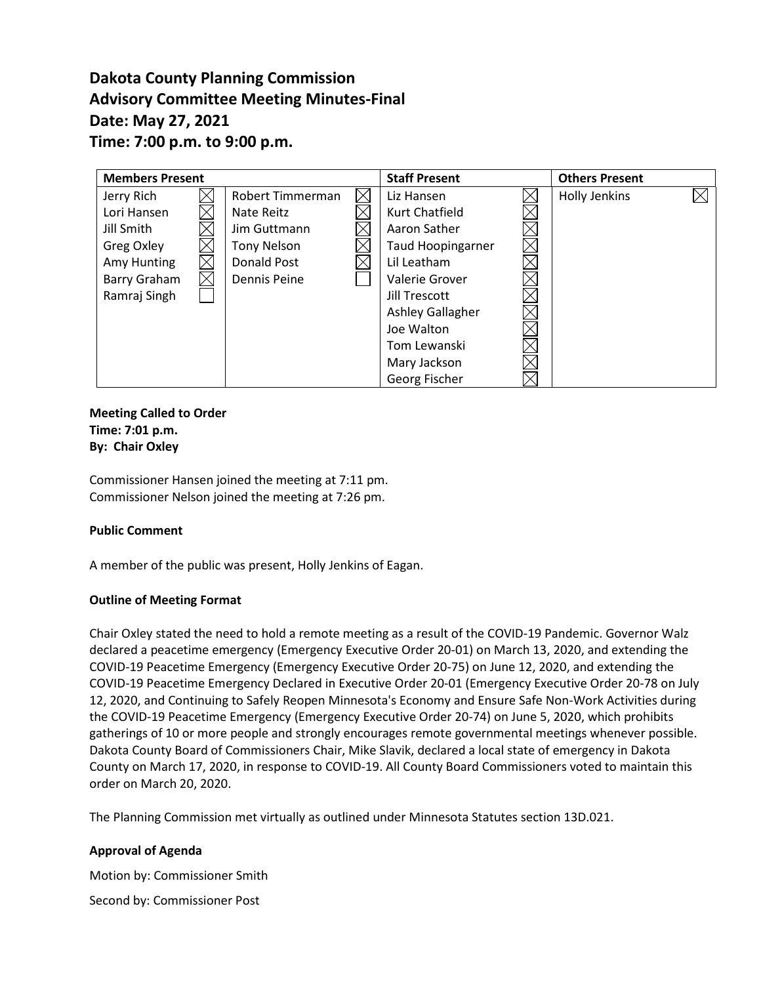# **Dakota County Planning Commission Advisory Committee Meeting Minutes-Final Date: May 27, 2021 Time: 7:00 p.m. to 9:00 p.m.**

| <b>Members Present</b> |  |                    |  | <b>Staff Present</b>     | <b>Others Present</b> |  |
|------------------------|--|--------------------|--|--------------------------|-----------------------|--|
| Jerry Rich             |  | Robert Timmerman   |  | Liz Hansen               | Holly Jenkins         |  |
| Lori Hansen            |  | Nate Reitz         |  | <b>Kurt Chatfield</b>    |                       |  |
| Jill Smith             |  | Jim Guttmann       |  | Aaron Sather             |                       |  |
| Greg Oxley             |  | <b>Tony Nelson</b> |  | <b>Taud Hoopingarner</b> |                       |  |
| Amy Hunting            |  | Donald Post        |  | Lil Leatham              |                       |  |
| Barry Graham           |  | Dennis Peine       |  | Valerie Grover           |                       |  |
| Ramraj Singh           |  |                    |  | Jill Trescott            |                       |  |
|                        |  |                    |  | <b>Ashley Gallagher</b>  |                       |  |
|                        |  |                    |  | Joe Walton               |                       |  |
|                        |  |                    |  | Tom Lewanski             |                       |  |
|                        |  |                    |  | Mary Jackson             |                       |  |
|                        |  |                    |  | Georg Fischer            |                       |  |

**Meeting Called to Order Time: 7:01 p.m. By: Chair Oxley**

Commissioner Hansen joined the meeting at 7:11 pm. Commissioner Nelson joined the meeting at 7:26 pm.

## **Public Comment**

A member of the public was present, Holly Jenkins of Eagan.

## **Outline of Meeting Format**

Chair Oxley stated the need to hold a remote meeting as a result of the COVID-19 Pandemic. Governor Walz declared a peacetime emergency (Emergency Executive Order 20-01) on March 13, 2020, and extending the COVID-19 Peacetime Emergency (Emergency Executive Order 20-75) on June 12, 2020, and extending the COVID-19 Peacetime Emergency Declared in Executive Order 20-01 (Emergency Executive Order 20-78 on July 12, 2020, and Continuing to Safely Reopen Minnesota's Economy and Ensure Safe Non-Work Activities during the COVID-19 Peacetime Emergency (Emergency Executive Order 20-74) on June 5, 2020, which prohibits gatherings of 10 or more people and strongly encourages remote governmental meetings whenever possible. Dakota County Board of Commissioners Chair, Mike Slavik, declared a local state of emergency in Dakota County on March 17, 2020, in response to COVID-19. All County Board Commissioners voted to maintain this order on March 20, 2020.

The Planning Commission met virtually as outlined under Minnesota Statutes section 13D.021.

## **Approval of Agenda**

Motion by: Commissioner Smith Second by: Commissioner Post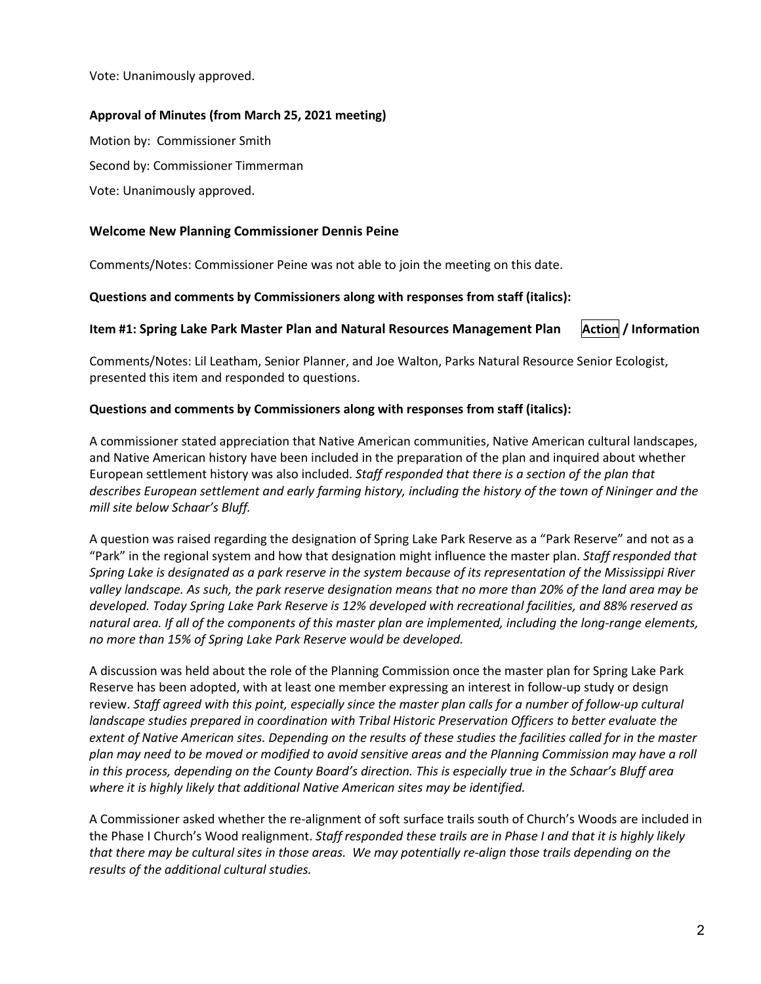Vote: Unanimously approved.

## **Approval of Minutes (from March 25, 2021 meeting)**

Motion by: Commissioner Smith Second by: Commissioner Timmerman Vote: Unanimously approved.

## **Welcome New Planning Commissioner Dennis Peine**

Comments/Notes: Commissioner Peine was not able to join the meeting on this date.

**Questions and comments by Commissioners along with responses from staff (italics):**

## **Item #1: Spring Lake Park Master Plan and Natural Resources Management Plan** Action / Information

Comments/Notes: Lil Leatham, Senior Planner, and Joe Walton, Parks Natural Resource Senior Ecologist, presented this item and responded to questions.

## **Questions and comments by Commissioners along with responses from staff (italics):**

A commissioner stated appreciation that Native American communities, Native American cultural landscapes, and Native American history have been included in the preparation of the plan and inquired about whether European settlement history was also included. *Staff responded that there is a section of the plan that describes European settlement and early farming history, including the history of the town of Nininger and the mill site below Schaar's Bluff.*

A question was raised regarding the designation of Spring Lake Park Reserve as a "Park Reserve" and not as a "Park" in the regional system and how that designation might influence the master plan. *Staff responded that Spring Lake is designated as a park reserve in the system because of its representation of the Mississippi River valley landscape. As such, the park reserve designation means that no more than 20% of the land area may be developed. Today Spring Lake Park Reserve is 12% developed with recreational facilities, and 88% reserved as natural area. If all of the components of this master plan are implemented, including the long-range elements, no more than 15% of Spring Lake Park Reserve would be developed.*

A discussion was held about the role of the Planning Commission once the master plan for Spring Lake Park Reserve has been adopted, with at least one member expressing an interest in follow-up study or design review. *Staff agreed with this point, especially since the master plan calls for a number of follow-up cultural landscape studies prepared in coordination with Tribal Historic Preservation Officers to better evaluate the extent of Native American sites. Depending on the results of these studies the facilities called for in the master plan may need to be moved or modified to avoid sensitive areas and the Planning Commission may have a roll in this process, depending on the County Board's direction. This is especially true in the Schaar's Bluff area where it is highly likely that additional Native American sites may be identified.*

A Commissioner asked whether the re-alignment of soft surface trails south of Church's Woods are included in the Phase I Church's Wood realignment. *Staff responded these trails are in Phase I and that it is highly likely that there may be cultural sites in those areas. We may potentially re-align those trails depending on the results of the additional cultural studies.*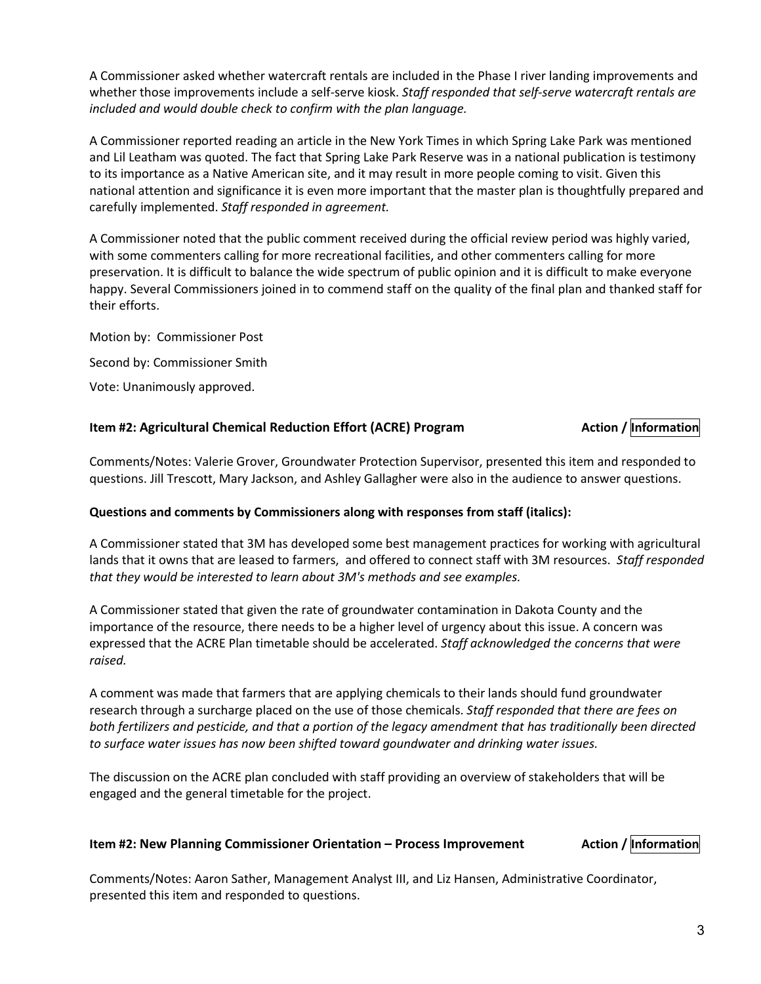A Commissioner asked whether watercraft rentals are included in the Phase I river landing improvements and whether those improvements include a self-serve kiosk. *Staff responded that self-serve watercraft rentals are included and would double check to confirm with the plan language.*

A Commissioner reported reading an article in the New York Times in which Spring Lake Park was mentioned and Lil Leatham was quoted. The fact that Spring Lake Park Reserve was in a national publication is testimony to its importance as a Native American site, and it may result in more people coming to visit. Given this national attention and significance it is even more important that the master plan is thoughtfully prepared and carefully implemented. *Staff responded in agreement.*

A Commissioner noted that the public comment received during the official review period was highly varied, with some commenters calling for more recreational facilities, and other commenters calling for more preservation. It is difficult to balance the wide spectrum of public opinion and it is difficult to make everyone happy. Several Commissioners joined in to commend staff on the quality of the final plan and thanked staff for their efforts.

Motion by: Commissioner Post Second by: Commissioner Smith Vote: Unanimously approved.

## **Item** #2: Agricultural Chemical Reduction Effort (ACRE) Program **Action** / **Action** / **Information**

Comments/Notes: Valerie Grover, Groundwater Protection Supervisor, presented this item and responded to questions. Jill Trescott, Mary Jackson, and Ashley Gallagher were also in the audience to answer questions.

## **Questions and comments by Commissioners along with responses from staff (italics):**

A Commissioner stated that 3M has developed some best management practices for working with agricultural lands that it owns that are leased to farmers, and offered to connect staff with 3M resources. *Staff responded that they would be interested to learn about 3M's methods and see examples.*

A Commissioner stated that given the rate of groundwater contamination in Dakota County and the importance of the resource, there needs to be a higher level of urgency about this issue. A concern was expressed that the ACRE Plan timetable should be accelerated. *Staff acknowledged the concerns that were raised.*

A comment was made that farmers that are applying chemicals to their lands should fund groundwater research through a surcharge placed on the use of those chemicals. *Staff responded that there are fees on both fertilizers and pesticide, and that a portion of the legacy amendment that has traditionally been directed to surface water issues has now been shifted toward goundwater and drinking water issues.*

The discussion on the ACRE plan concluded with staff providing an overview of stakeholders that will be engaged and the general timetable for the project.

## **Item #2: New Planning Commissioner Orientation – Process Improvement Action / Information**

Comments/Notes: Aaron Sather, Management Analyst III, and Liz Hansen, Administrative Coordinator, presented this item and responded to questions.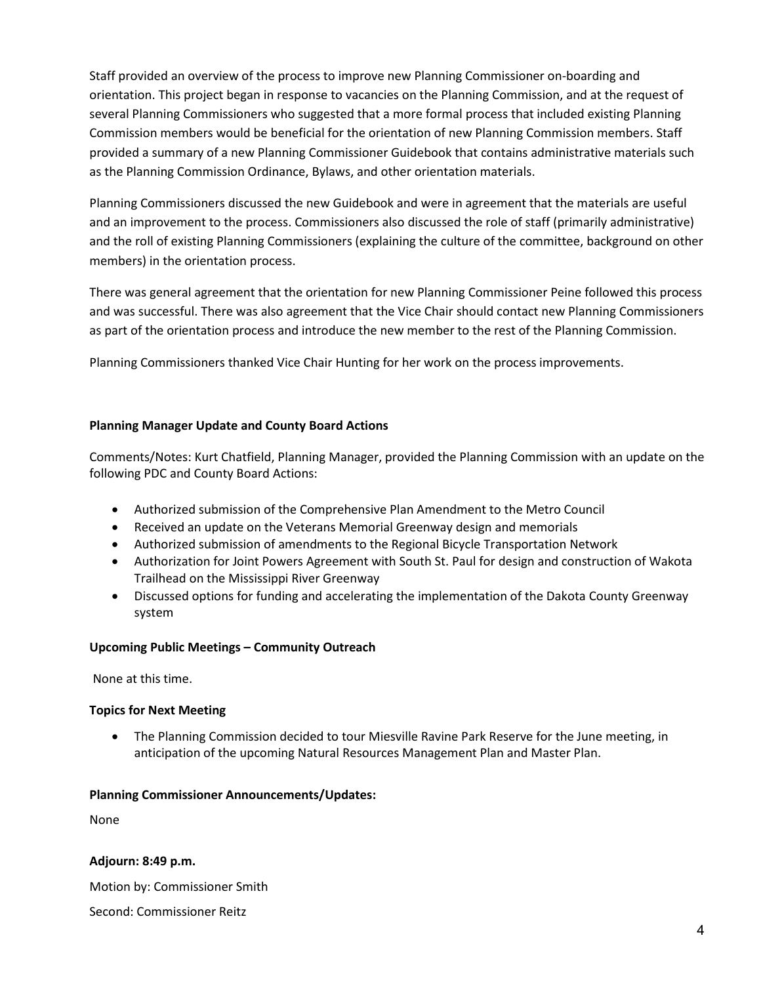Staff provided an overview of the process to improve new Planning Commissioner on-boarding and orientation. This project began in response to vacancies on the Planning Commission, and at the request of several Planning Commissioners who suggested that a more formal process that included existing Planning Commission members would be beneficial for the orientation of new Planning Commission members. Staff provided a summary of a new Planning Commissioner Guidebook that contains administrative materials such as the Planning Commission Ordinance, Bylaws, and other orientation materials.

Planning Commissioners discussed the new Guidebook and were in agreement that the materials are useful and an improvement to the process. Commissioners also discussed the role of staff (primarily administrative) and the roll of existing Planning Commissioners (explaining the culture of the committee, background on other members) in the orientation process.

There was general agreement that the orientation for new Planning Commissioner Peine followed this process and was successful. There was also agreement that the Vice Chair should contact new Planning Commissioners as part of the orientation process and introduce the new member to the rest of the Planning Commission.

Planning Commissioners thanked Vice Chair Hunting for her work on the process improvements.

## **Planning Manager Update and County Board Actions**

Comments/Notes: Kurt Chatfield, Planning Manager, provided the Planning Commission with an update on the following PDC and County Board Actions:

- Authorized submission of the Comprehensive Plan Amendment to the Metro Council
- Received an update on the Veterans Memorial Greenway design and memorials
- Authorized submission of amendments to the Regional Bicycle Transportation Network
- Authorization for Joint Powers Agreement with South St. Paul for design and construction of Wakota Trailhead on the Mississippi River Greenway
- Discussed options for funding and accelerating the implementation of the Dakota County Greenway system

## **Upcoming Public Meetings – Community Outreach**

None at this time.

## **Topics for Next Meeting**

• The Planning Commission decided to tour Miesville Ravine Park Reserve for the June meeting, in anticipation of the upcoming Natural Resources Management Plan and Master Plan.

#### **Planning Commissioner Announcements/Updates:**

None

## **Adjourn: 8:49 p.m.**

Motion by: Commissioner Smith

Second: Commissioner Reitz